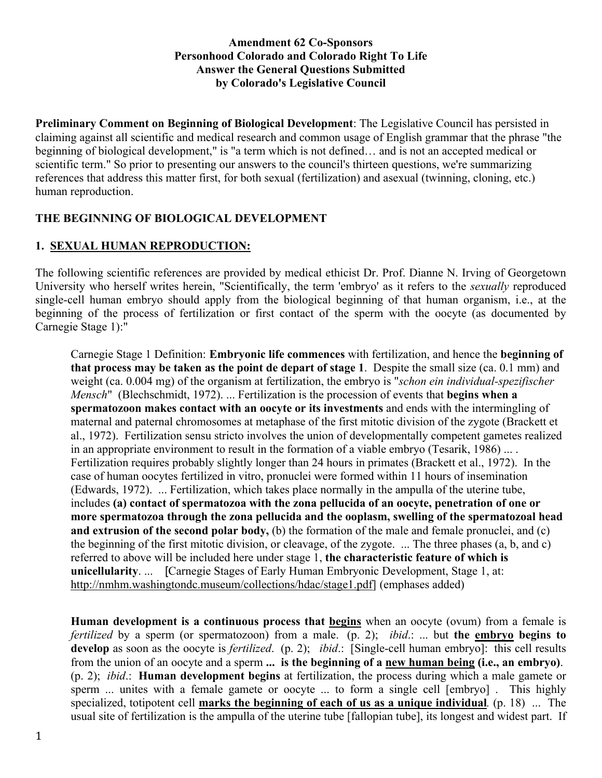#### **Amendment 62 Co-Sponsors Personhood Colorado and Colorado Right To Life Answer the General Questions Submitted by Colorado's Legislative Council**

**Preliminary Comment on Beginning of Biological Development**: The Legislative Council has persisted in claiming against all scientific and medical research and common usage of English grammar that the phrase "the beginning of biological development," is "a term which is not defined… and is not an accepted medical or scientific term." So prior to presenting our answers to the council's thirteen questions, we're summarizing references that address this matter first, for both sexual (fertilization) and asexual (twinning, cloning, etc.) human reproduction.

## **THE BEGINNING OF BIOLOGICAL DEVELOPMENT**

## **1. SEXUAL HUMAN REPRODUCTION:**

The following scientific references are provided by medical ethicist Dr. Prof. Dianne N. Irving of Georgetown University who herself writes herein, "Scientifically, the term 'embryo' as it refers to the *sexually* reproduced single-cell human embryo should apply from the biological beginning of that human organism, i.e., at the beginning of the process of fertilization or first contact of the sperm with the oocyte (as documented by Carnegie Stage 1):"

Carnegie Stage 1 Definition: **Embryonic life commences** with fertilization, and hence the **beginning of that process may be taken as the point de depart of stage 1**. Despite the small size (ca. 0.1 mm) and weight (ca. 0.004 mg) of the organism at fertilization, the embryo is "*schon ein individual-spezifischer Mensch*" (Blechschmidt, 1972). ... Fertilization is the procession of events that **begins when a spermatozoon makes contact with an oocyte or its investments** and ends with the intermingling of maternal and paternal chromosomes at metaphase of the first mitotic division of the zygote (Brackett et al., 1972). Fertilization sensu stricto involves the union of developmentally competent gametes realized in an appropriate environment to result in the formation of a viable embryo (Tesarik, 1986) ... . Fertilization requires probably slightly longer than 24 hours in primates (Brackett et al., 1972). In the case of human oocytes fertilized in vitro, pronuclei were formed within 11 hours of insemination (Edwards, 1972). ... Fertilization, which takes place normally in the ampulla of the uterine tube, includes **(a) contact of spermatozoa with the zona pellucida of an oocyte, penetration of one or more spermatozoa through the zona pellucida and the ooplasm, swelling of the spermatozoal head and extrusion of the second polar body,** (b) the formation of the male and female pronuclei, and (c) the beginning of the first mitotic division, or cleavage, of the zygote. ... The three phases (a, b, and c) referred to above will be included here under stage 1, **the characteristic feature of which is unicellularity**. ... [Carnegie Stages of Early Human Embryonic Development, Stage 1, at: http://nmhm.washingtondc.museum/collections/hdac/stage1.pdf] (emphases added)

**Human development is a continuous process that begins** when an oocyte (ovum) from a female is *fertilized* by a sperm (or spermatozoon) from a male. (p. 2); *ibid*.: ... but **the embryo begins to develop** as soon as the oocyte is *fertilized*. (p. 2); *ibid*.: [Single-cell human embryo]: this cell results from the union of an oocyte and a sperm **... is the beginning of a new human being (i.e., an embryo)**. (p. 2); *ibid*.: **Human development begins** at fertilization, the process during which a male gamete or sperm ... unites with a female gamete or oocyte ... to form a single cell [embryo] . This highly specialized, totipotent cell **marks the beginning of each of us as a unique individual***.* (p. 18) ... The usual site of fertilization is the ampulla of the uterine tube [fallopian tube], its longest and widest part. If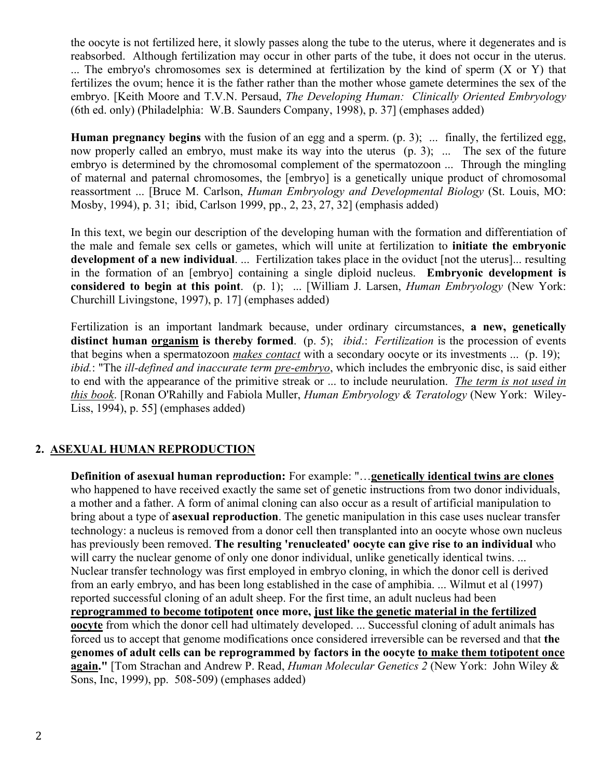the oocyte is not fertilized here, it slowly passes along the tube to the uterus, where it degenerates and is reabsorbed. Although fertilization may occur in other parts of the tube, it does not occur in the uterus. ... The embryo's chromosomes sex is determined at fertilization by the kind of sperm (X or Y) that fertilizes the ovum; hence it is the father rather than the mother whose gamete determines the sex of the embryo. [Keith Moore and T.V.N. Persaud, *The Developing Human: Clinically Oriented Embryology* (6th ed. only) (Philadelphia: W.B. Saunders Company, 1998), p. 37] (emphases added)

**Human pregnancy begins** with the fusion of an egg and a sperm. (p. 3); ... finally, the fertilized egg, now properly called an embryo, must make its way into the uterus (p. 3); ... The sex of the future embryo is determined by the chromosomal complement of the spermatozoon ... Through the mingling of maternal and paternal chromosomes, the [embryo] is a genetically unique product of chromosomal reassortment ... [Bruce M. Carlson, *Human Embryology and Developmental Biology* (St. Louis, MO: Mosby, 1994), p. 31; ibid, Carlson 1999, pp., 2, 23, 27, 32] (emphasis added)

In this text, we begin our description of the developing human with the formation and differentiation of the male and female sex cells or gametes, which will unite at fertilization to **initiate the embryonic development of a new individual**. ... Fertilization takes place in the oviduct [not the uterus]... resulting in the formation of an [embryo] containing a single diploid nucleus. **Embryonic development is considered to begin at this point**. (p. 1); ... [William J. Larsen, *Human Embryology* (New York: Churchill Livingstone, 1997), p. 17] (emphases added)

Fertilization is an important landmark because, under ordinary circumstances, **a new, genetically distinct human organism is thereby formed**. (p. 5); *ibid*.: *Fertilization* is the procession of events that begins when a spermatozoon *makes contact* with a secondary oocyte or its investments ... (p. 19); *ibid.*: "The *ill-defined and inaccurate term pre-embryo*, which includes the embryonic disc, is said either to end with the appearance of the primitive streak or ... to include neurulation. *The term is not used in this book*. [Ronan O'Rahilly and Fabiola Muller, *Human Embryology & Teratology* (New York: Wiley-Liss, 1994), p. 55] (emphases added)

#### **2. ASEXUAL HUMAN REPRODUCTION**

**Definition of asexual human reproduction:** For example: "…**genetically identical twins are clones** who happened to have received exactly the same set of genetic instructions from two donor individuals, a mother and a father. A form of animal cloning can also occur as a result of artificial manipulation to bring about a type of **asexual reproduction**. The genetic manipulation in this case uses nuclear transfer technology: a nucleus is removed from a donor cell then transplanted into an oocyte whose own nucleus has previously been removed. **The resulting 'renucleated' oocyte can give rise to an individual** who will carry the nuclear genome of only one donor individual, unlike genetically identical twins. ... Nuclear transfer technology was first employed in embryo cloning, in which the donor cell is derived from an early embryo, and has been long established in the case of amphibia. ... Wilmut et al (1997) reported successful cloning of an adult sheep. For the first time, an adult nucleus had been **reprogrammed to become totipotent once more, just like the genetic material in the fertilized oocyte** from which the donor cell had ultimately developed. ... Successful cloning of adult animals has forced us to accept that genome modifications once considered irreversible can be reversed and that **the genomes of adult cells can be reprogrammed by factors in the oocyte to make them totipotent once again."** [Tom Strachan and Andrew P. Read, *Human Molecular Genetics 2* (New York: John Wiley & Sons, Inc, 1999), pp. 508-509) (emphases added)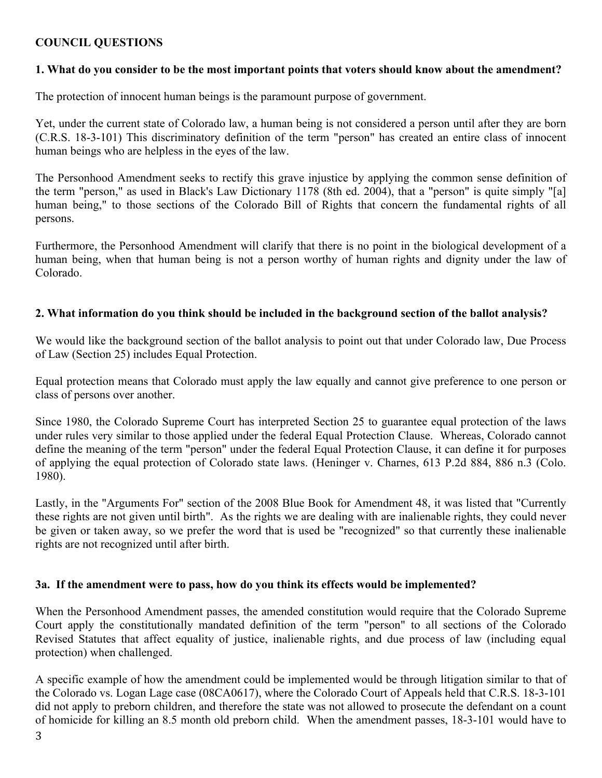## **COUNCIL QUESTIONS**

#### **1. What do you consider to be the most important points that voters should know about the amendment?**

The protection of innocent human beings is the paramount purpose of government.

Yet, under the current state of Colorado law, a human being is not considered a person until after they are born (C.R.S. 18-3-101) This discriminatory definition of the term "person" has created an entire class of innocent human beings who are helpless in the eyes of the law.

The Personhood Amendment seeks to rectify this grave injustice by applying the common sense definition of the term "person," as used in Black's Law Dictionary 1178 (8th ed. 2004), that a "person" is quite simply "[a] human being," to those sections of the Colorado Bill of Rights that concern the fundamental rights of all persons.

Furthermore, the Personhood Amendment will clarify that there is no point in the biological development of a human being, when that human being is not a person worthy of human rights and dignity under the law of Colorado.

#### **2. What information do you think should be included in the background section of the ballot analysis?**

We would like the background section of the ballot analysis to point out that under Colorado law, Due Process of Law (Section 25) includes Equal Protection.

Equal protection means that Colorado must apply the law equally and cannot give preference to one person or class of persons over another.

Since 1980, the Colorado Supreme Court has interpreted Section 25 to guarantee equal protection of the laws under rules very similar to those applied under the federal Equal Protection Clause. Whereas, Colorado cannot define the meaning of the term "person" under the federal Equal Protection Clause, it can define it for purposes of applying the equal protection of Colorado state laws. (Heninger v. Charnes, 613 P.2d 884, 886 n.3 (Colo. 1980).

Lastly, in the "Arguments For" section of the 2008 Blue Book for Amendment 48, it was listed that "Currently these rights are not given until birth". As the rights we are dealing with are inalienable rights, they could never be given or taken away, so we prefer the word that is used be "recognized" so that currently these inalienable rights are not recognized until after birth.

#### **3a. If the amendment were to pass, how do you think its effects would be implemented?**

When the Personhood Amendment passes, the amended constitution would require that the Colorado Supreme Court apply the constitutionally mandated definition of the term "person" to all sections of the Colorado Revised Statutes that affect equality of justice, inalienable rights, and due process of law (including equal protection) when challenged.

A specific example of how the amendment could be implemented would be through litigation similar to that of the Colorado vs. Logan Lage case (08CA0617), where the Colorado Court of Appeals held that C.R.S. 18-3-101 did not apply to preborn children, and therefore the state was not allowed to prosecute the defendant on a count of homicide for killing an 8.5 month old preborn child. When the amendment passes, 18-3-101 would have to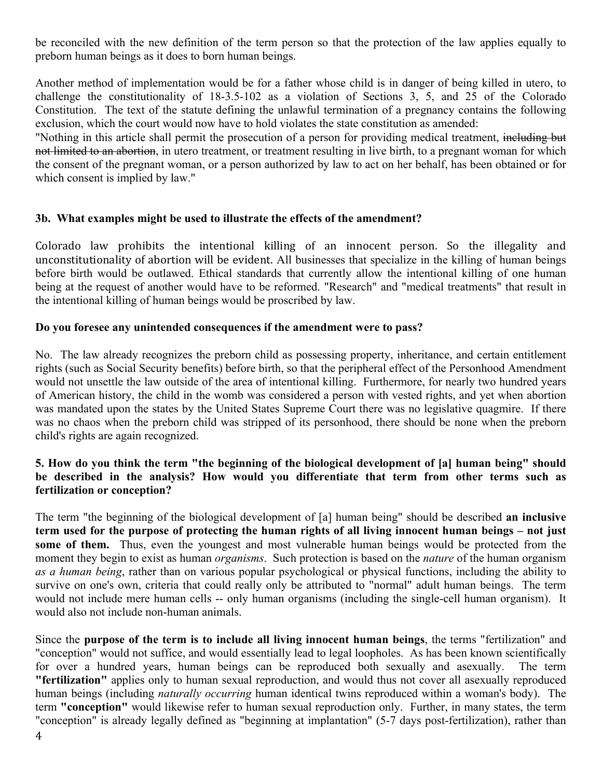be reconciled with the new definition of the term person so that the protection of the law applies equally to preborn human beings as it does to born human beings.

Another method of implementation would be for a father whose child is in danger of being killed in utero, to challenge the constitutionality of 18-3.5-102 as a violation of Sections 3, 5, and 25 of the Colorado Constitution. The text of the statute defining the unlawful termination of a pregnancy contains the following exclusion, which the court would now have to hold violates the state constitution as amended:

"Nothing in this article shall permit the prosecution of a person for providing medical treatment, including but not limited to an abortion, in utero treatment, or treatment resulting in live birth, to a pregnant woman for which the consent of the pregnant woman, or a person authorized by law to act on her behalf, has been obtained or for which consent is implied by law."

#### **3b. What examples might be used to illustrate the effects of the amendment?**

Colorado law prohibits the intentional killing of an innocent person. So the illegality and unconstitutionality of abortion will be evident. All businesses that specialize in the killing of human beings before birth would be outlawed. Ethical standards that currently allow the intentional killing of one human being at the request of another would have to be reformed. "Research" and "medical treatments" that result in the intentional killing of human beings would be proscribed by law.

#### **Do you foresee any unintended consequences if the amendment were to pass?**

No. The law already recognizes the preborn child as possessing property, inheritance, and certain entitlement rights (such as Social Security benefits) before birth, so that the peripheral effect of the Personhood Amendment would not unsettle the law outside of the area of intentional killing. Furthermore, for nearly two hundred years of American history, the child in the womb was considered a person with vested rights, and yet when abortion was mandated upon the states by the United States Supreme Court there was no legislative quagmire. If there was no chaos when the preborn child was stripped of its personhood, there should be none when the preborn child's rights are again recognized.

#### **5. How do you think the term "the beginning of the biological development of [a] human being" should be described in the analysis? How would you differentiate that term from other terms such as fertilization or conception?**

The term "the beginning of the biological development of [a] human being" should be described **an inclusive term used for the purpose of protecting the human rights of all living innocent human beings – not just some of them.** Thus, even the youngest and most vulnerable human beings would be protected from the moment they begin to exist as human *organisms*. Such protection is based on the *nature* of the human organism *as a human being*, rather than on various popular psychological or physical functions, including the ability to survive on one's own, criteria that could really only be attributed to "normal" adult human beings. The term would not include mere human cells -- only human organisms (including the single-cell human organism). It would also not include non-human animals.

Since the **purpose of the term is to include all living innocent human beings**, the terms "fertilization" and "conception" would not suffice, and would essentially lead to legal loopholes. As has been known scientifically for over a hundred years, human beings can be reproduced both sexually and asexually. The term **"fertilization"** applies only to human sexual reproduction, and would thus not cover all asexually reproduced human beings (including *naturally occurring* human identical twins reproduced within a woman's body). The term **"conception"** would likewise refer to human sexual reproduction only. Further, in many states, the term "conception" is already legally defined as "beginning at implantation" (5-7 days post-fertilization), rather than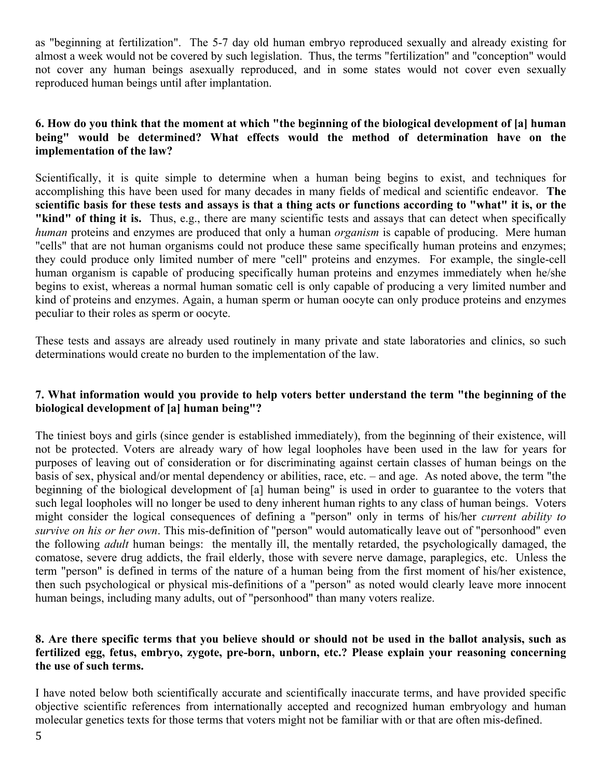as "beginning at fertilization". The 5-7 day old human embryo reproduced sexually and already existing for almost a week would not be covered by such legislation. Thus, the terms "fertilization" and "conception" would not cover any human beings asexually reproduced, and in some states would not cover even sexually reproduced human beings until after implantation.

### **6. How do you think that the moment at which "the beginning of the biological development of [a] human being" would be determined? What effects would the method of determination have on the implementation of the law?**

Scientifically, it is quite simple to determine when a human being begins to exist, and techniques for accomplishing this have been used for many decades in many fields of medical and scientific endeavor. **The scientific basis for these tests and assays is that a thing acts or functions according to "what" it is, or the "kind" of thing it is.** Thus, e.g., there are many scientific tests and assays that can detect when specifically *human* proteins and enzymes are produced that only a human *organism* is capable of producing. Mere human "cells" that are not human organisms could not produce these same specifically human proteins and enzymes; they could produce only limited number of mere "cell" proteins and enzymes. For example, the single-cell human organism is capable of producing specifically human proteins and enzymes immediately when he/she begins to exist, whereas a normal human somatic cell is only capable of producing a very limited number and kind of proteins and enzymes. Again, a human sperm or human oocyte can only produce proteins and enzymes peculiar to their roles as sperm or oocyte.

These tests and assays are already used routinely in many private and state laboratories and clinics, so such determinations would create no burden to the implementation of the law.

#### **7. What information would you provide to help voters better understand the term "the beginning of the biological development of [a] human being"?**

The tiniest boys and girls (since gender is established immediately), from the beginning of their existence, will not be protected. Voters are already wary of how legal loopholes have been used in the law for years for purposes of leaving out of consideration or for discriminating against certain classes of human beings on the basis of sex, physical and/or mental dependency or abilities, race, etc. – and age. As noted above, the term "the beginning of the biological development of [a] human being" is used in order to guarantee to the voters that such legal loopholes will no longer be used to deny inherent human rights to any class of human beings. Voters might consider the logical consequences of defining a "person" only in terms of his/her *current ability to survive on his or her own*. This mis-definition of "person" would automatically leave out of "personhood" even the following *adult* human beings: the mentally ill, the mentally retarded, the psychologically damaged, the comatose, severe drug addicts, the frail elderly, those with severe nerve damage, paraplegics, etc. Unless the term "person" is defined in terms of the nature of a human being from the first moment of his/her existence, then such psychological or physical mis-definitions of a "person" as noted would clearly leave more innocent human beings, including many adults, out of "personhood" than many voters realize.

#### **8. Are there specific terms that you believe should or should not be used in the ballot analysis, such as fertilized egg, fetus, embryo, zygote, pre-born, unborn, etc.? Please explain your reasoning concerning the use of such terms.**

I have noted below both scientifically accurate and scientifically inaccurate terms, and have provided specific objective scientific references from internationally accepted and recognized human embryology and human molecular genetics texts for those terms that voters might not be familiar with or that are often mis-defined.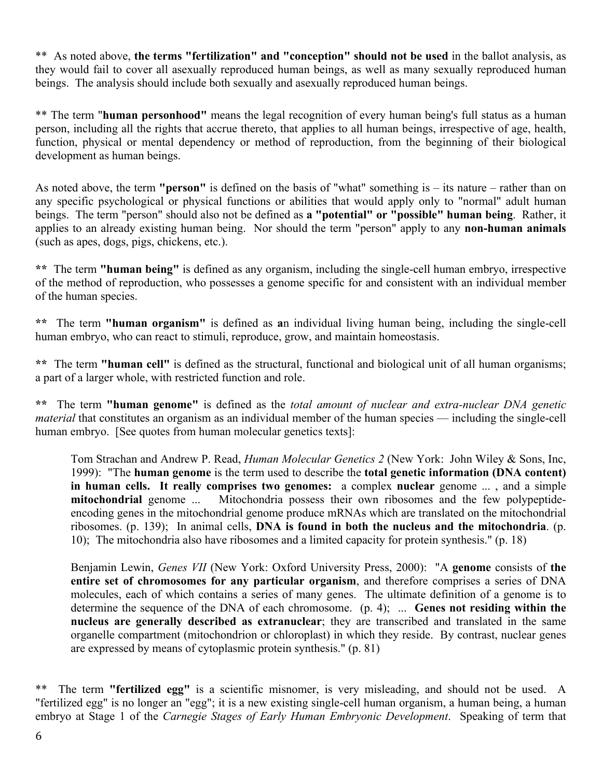\*\* As noted above, **the terms "fertilization" and "conception" should not be used** in the ballot analysis, as they would fail to cover all asexually reproduced human beings, as well as many sexually reproduced human beings. The analysis should include both sexually and asexually reproduced human beings.

\*\* The term "**human personhood"** means the legal recognition of every human being's full status as a human person, including all the rights that accrue thereto, that applies to all human beings, irrespective of age, health, function, physical or mental dependency or method of reproduction, from the beginning of their biological development as human beings.

As noted above, the term **"person"** is defined on the basis of "what" something is – its nature – rather than on any specific psychological or physical functions or abilities that would apply only to "normal" adult human beings. The term "person" should also not be defined as **a "potential" or "possible" human being**. Rather, it applies to an already existing human being. Nor should the term "person" apply to any **non-human animals** (such as apes, dogs, pigs, chickens, etc.).

**\*\*** The term **"human being"** is defined as any organism, including the single-cell human embryo, irrespective of the method of reproduction, who possesses a genome specific for and consistent with an individual member of the human species.

**\*\*** The term **"human organism"** is defined as **a**n individual living human being, including the single-cell human embryo, who can react to stimuli, reproduce, grow, and maintain homeostasis.

**\*\*** The term **"human cell"** is defined as the structural, functional and biological unit of all human organisms; a part of a larger whole, with restricted function and role.

**\*\*** The term **"human genome"** is defined as the *total amount of nuclear and extra-nuclear DNA genetic material* that constitutes an organism as an individual member of the human species — including the single-cell human embryo. [See quotes from human molecular genetics texts]:

Tom Strachan and Andrew P. Read, *Human Molecular Genetics 2* (New York: John Wiley & Sons, Inc, 1999): "The **human genome** is the term used to describe the **total genetic information (DNA content) in human cells. It really comprises two genomes:** a complex **nuclear** genome ... , and a simple **mitochondrial** genome ... Mitochondria possess their own ribosomes and the few polypeptideencoding genes in the mitochondrial genome produce mRNAs which are translated on the mitochondrial ribosomes. (p. 139); In animal cells, **DNA is found in both the nucleus and the mitochondria**. (p. 10); The mitochondria also have ribosomes and a limited capacity for protein synthesis." (p. 18)

Benjamin Lewin, *Genes VII* (New York: Oxford University Press, 2000): "A **genome** consists of **the entire set of chromosomes for any particular organism**, and therefore comprises a series of DNA molecules, each of which contains a series of many genes. The ultimate definition of a genome is to determine the sequence of the DNA of each chromosome. (p. 4); ... **Genes not residing within the nucleus are generally described as extranuclear**; they are transcribed and translated in the same organelle compartment (mitochondrion or chloroplast) in which they reside. By contrast, nuclear genes are expressed by means of cytoplasmic protein synthesis." (p. 81)

\*\* The term **"fertilized egg"** is a scientific misnomer, is very misleading, and should not be used. A "fertilized egg" is no longer an "egg"; it is a new existing single-cell human organism, a human being, a human embryo at Stage 1 of the *Carnegie Stages of Early Human Embryonic Development*. Speaking of term that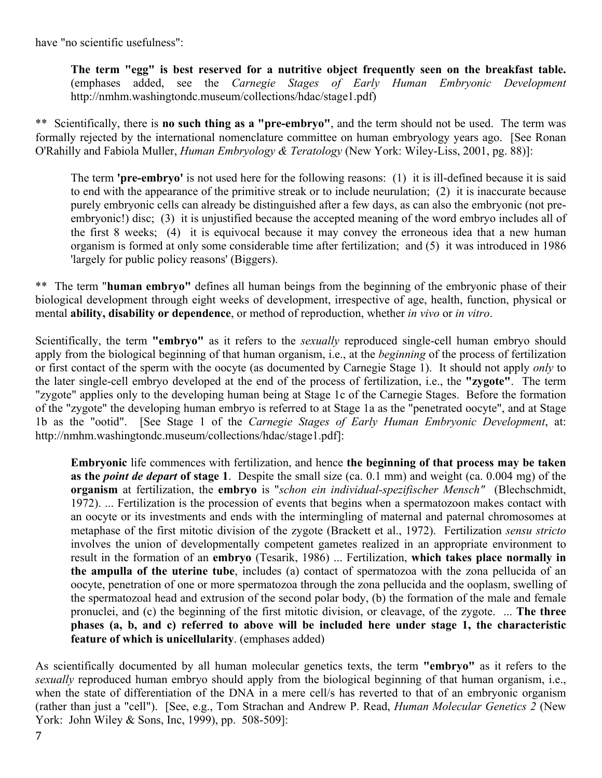have "no scientific usefulness":

**The term "egg" is best reserved for a nutritive object frequently seen on the breakfast table.**  (emphases added, see the *Carnegie Stages of Early Human Embryonic Development*  http://nmhm.washingtondc.museum/collections/hdac/stage1.pdf)

\*\* Scientifically, there is **no such thing as a "pre-embryo"**, and the term should not be used. The term was formally rejected by the international nomenclature committee on human embryology years ago. [See Ronan O'Rahilly and Fabiola Muller, *Human Embryology & Teratology* (New York: Wiley-Liss, 2001, pg. 88)]:

The term **'pre-embryo'** is not used here for the following reasons: (1) it is ill-defined because it is said to end with the appearance of the primitive streak or to include neurulation; (2) it is inaccurate because purely embryonic cells can already be distinguished after a few days, as can also the embryonic (not preembryonic!) disc; (3) it is unjustified because the accepted meaning of the word embryo includes all of the first 8 weeks; (4) it is equivocal because it may convey the erroneous idea that a new human organism is formed at only some considerable time after fertilization; and (5) it was introduced in 1986 'largely for public policy reasons' (Biggers).

\*\* The term "**human embryo"** defines all human beings from the beginning of the embryonic phase of their biological development through eight weeks of development, irrespective of age, health, function, physical or mental **ability, disability or dependence**, or method of reproduction, whether *in vivo* or *in vitro*.

Scientifically, the term **"embryo"** as it refers to the *sexually* reproduced single-cell human embryo should apply from the biological beginning of that human organism, i.e., at the *beginning* of the process of fertilization or first contact of the sperm with the oocyte (as documented by Carnegie Stage 1). It should not apply *only* to the later single-cell embryo developed at the end of the process of fertilization, i.e., the **"zygote"**. The term "zygote" applies only to the developing human being at Stage 1c of the Carnegie Stages. Before the formation of the "zygote" the developing human embryo is referred to at Stage 1a as the "penetrated oocyte", and at Stage 1b as the "ootid". [See Stage 1 of the *Carnegie Stages of Early Human Embryonic Development*, at: http://nmhm.washingtondc.museum/collections/hdac/stage1.pdf]:

**Embryonic** life commences with fertilization, and hence **the beginning of that process may be taken as the** *point de depart* **of stage 1**. Despite the small size (ca. 0.1 mm) and weight (ca. 0.004 mg) of the **organism** at fertilization, the **embryo** is "*schon ein individual-spezifischer Mensch"* (Blechschmidt, 1972). ... Fertilization is the procession of events that begins when a spermatozoon makes contact with an oocyte or its investments and ends with the intermingling of maternal and paternal chromosomes at metaphase of the first mitotic division of the zygote (Brackett et al., 1972). Fertilization *sensu stricto* involves the union of developmentally competent gametes realized in an appropriate environment to result in the formation of an **embryo** (Tesarik, 1986) ... Fertilization, **which takes place normally in the ampulla of the uterine tube**, includes (a) contact of spermatozoa with the zona pellucida of an oocyte, penetration of one or more spermatozoa through the zona pellucida and the ooplasm, swelling of the spermatozoal head and extrusion of the second polar body, (b) the formation of the male and female pronuclei, and (c) the beginning of the first mitotic division, or cleavage, of the zygote. ... **The three phases (a, b, and c) referred to above will be included here under stage 1, the characteristic feature of which is unicellularity**. (emphases added)

As scientifically documented by all human molecular genetics texts, the term **"embryo"** as it refers to the *sexually* reproduced human embryo should apply from the biological beginning of that human organism, i.e., when the state of differentiation of the DNA in a mere cell/s has reverted to that of an embryonic organism (rather than just a "cell"). [See, e.g., Tom Strachan and Andrew P. Read, *Human Molecular Genetics 2* (New York: John Wiley & Sons, Inc, 1999), pp. 508-509]: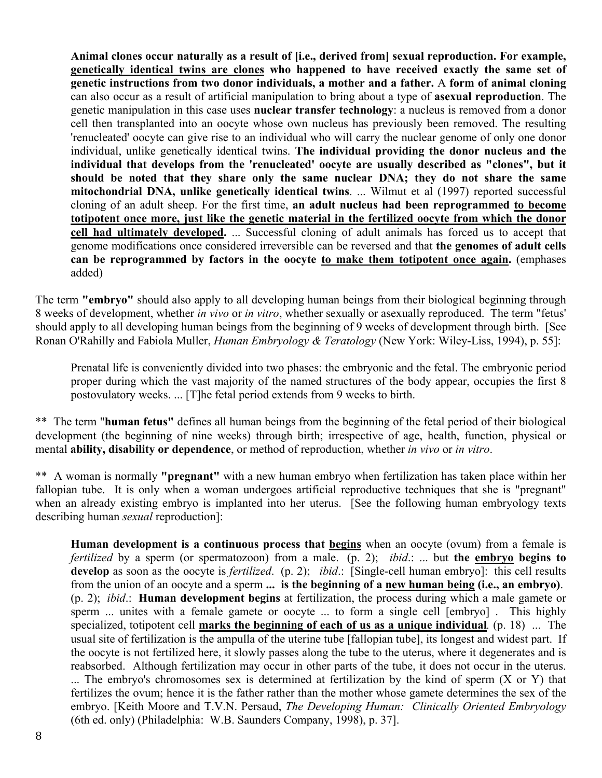**Animal clones occur naturally as a result of [i.e., derived from] sexual reproduction. For example, genetically identical twins are clones who happened to have received exactly the same set of genetic instructions from two donor individuals, a mother and a father.** A **form of animal cloning** can also occur as a result of artificial manipulation to bring about a type of **asexual reproduction**. The genetic manipulation in this case uses **nuclear transfer technology**: a nucleus is removed from a donor cell then transplanted into an oocyte whose own nucleus has previously been removed. The resulting 'renucleated' oocyte can give rise to an individual who will carry the nuclear genome of only one donor individual, unlike genetically identical twins. **The individual providing the donor nucleus and the individual that develops from the 'renucleated' oocyte are usually described as "clones", but it should be noted that they share only the same nuclear DNA; they do not share the same mitochondrial DNA, unlike genetically identical twins**. ... Wilmut et al (1997) reported successful cloning of an adult sheep. For the first time, **an adult nucleus had been reprogrammed to become totipotent once more, just like the genetic material in the fertilized oocyte from which the donor cell had ultimately developed.** ... Successful cloning of adult animals has forced us to accept that genome modifications once considered irreversible can be reversed and that **the genomes of adult cells can be reprogrammed by factors in the oocyte to make them totipotent once again.** (emphases added)

The term **"embryo"** should also apply to all developing human beings from their biological beginning through 8 weeks of development, whether *in vivo* or *in vitro*, whether sexually or asexually reproduced. The term "fetus' should apply to all developing human beings from the beginning of 9 weeks of development through birth. [See Ronan O'Rahilly and Fabiola Muller, *Human Embryology & Teratology* (New York: Wiley-Liss, 1994), p. 55]:

Prenatal life is conveniently divided into two phases: the embryonic and the fetal. The embryonic period proper during which the vast majority of the named structures of the body appear, occupies the first 8 postovulatory weeks. ... [T]he fetal period extends from 9 weeks to birth.

\*\* The term "**human fetus"** defines all human beings from the beginning of the fetal period of their biological development (the beginning of nine weeks) through birth; irrespective of age, health, function, physical or mental **ability, disability or dependence**, or method of reproduction, whether *in vivo* or *in vitro*.

\*\* A woman is normally **"pregnant"** with a new human embryo when fertilization has taken place within her fallopian tube. It is only when a woman undergoes artificial reproductive techniques that she is "pregnant" when an already existing embryo is implanted into her uterus. [See the following human embryology texts describing human *sexual* reproduction]:

**Human development is a continuous process that begins** when an oocyte (ovum) from a female is *fertilized* by a sperm (or spermatozoon) from a male. (p. 2); *ibid*.: ... but **the embryo begins to develop** as soon as the oocyte is *fertilized*. (p. 2); *ibid*.: [Single-cell human embryo]: this cell results from the union of an oocyte and a sperm **... is the beginning of a new human being (i.e., an embryo)**. (p. 2); *ibid*.: **Human development begins** at fertilization, the process during which a male gamete or sperm ... unites with a female gamete or oocyte ... to form a single cell [embryo] . This highly specialized, totipotent cell **marks the beginning of each of us as a unique individual***.* (p. 18) ... The usual site of fertilization is the ampulla of the uterine tube [fallopian tube], its longest and widest part. If the oocyte is not fertilized here, it slowly passes along the tube to the uterus, where it degenerates and is reabsorbed. Although fertilization may occur in other parts of the tube, it does not occur in the uterus. ... The embryo's chromosomes sex is determined at fertilization by the kind of sperm (X or Y) that fertilizes the ovum; hence it is the father rather than the mother whose gamete determines the sex of the embryo. [Keith Moore and T.V.N. Persaud, *The Developing Human: Clinically Oriented Embryology* (6th ed. only) (Philadelphia: W.B. Saunders Company, 1998), p. 37].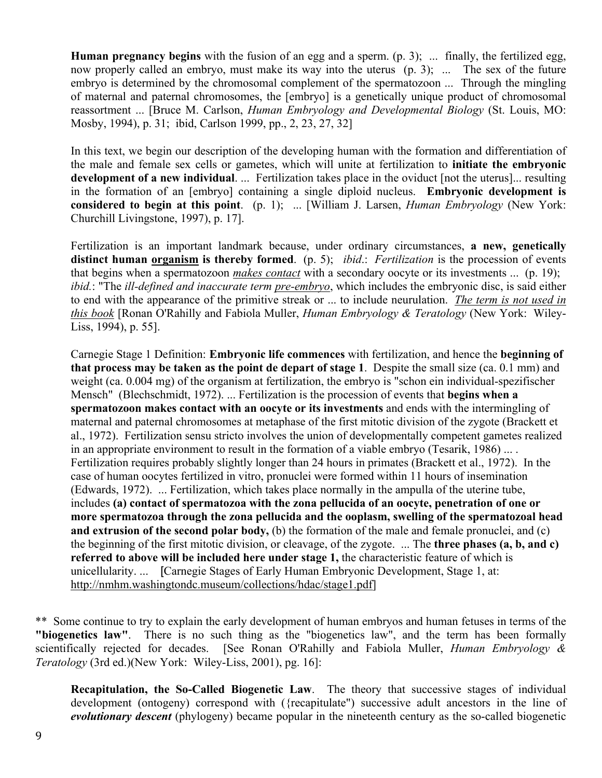**Human pregnancy begins** with the fusion of an egg and a sperm. (p. 3); ... finally, the fertilized egg, now properly called an embryo, must make its way into the uterus (p. 3); ... The sex of the future embryo is determined by the chromosomal complement of the spermatozoon ... Through the mingling of maternal and paternal chromosomes, the [embryo] is a genetically unique product of chromosomal reassortment ... [Bruce M. Carlson, *Human Embryology and Developmental Biology* (St. Louis, MO: Mosby, 1994), p. 31; ibid, Carlson 1999, pp., 2, 23, 27, 32]

In this text, we begin our description of the developing human with the formation and differentiation of the male and female sex cells or gametes, which will unite at fertilization to **initiate the embryonic development of a new individual**. ... Fertilization takes place in the oviduct [not the uterus]... resulting in the formation of an [embryo] containing a single diploid nucleus. **Embryonic development is considered to begin at this point**. (p. 1); ... [William J. Larsen, *Human Embryology* (New York: Churchill Livingstone, 1997), p. 17].

Fertilization is an important landmark because, under ordinary circumstances, **a new, genetically distinct human organism is thereby formed**. (p. 5); *ibid*.: *Fertilization* is the procession of events that begins when a spermatozoon *makes contact* with a secondary oocyte or its investments ... (p. 19); *ibid.*: "The *ill-defined and inaccurate term pre-embryo*, which includes the embryonic disc, is said either to end with the appearance of the primitive streak or ... to include neurulation. *The term is not used in this book* [Ronan O'Rahilly and Fabiola Muller, *Human Embryology & Teratology* (New York: Wiley-Liss, 1994), p. 55].

Carnegie Stage 1 Definition: **Embryonic life commences** with fertilization, and hence the **beginning of that process may be taken as the point de depart of stage 1**. Despite the small size (ca. 0.1 mm) and weight (ca. 0.004 mg) of the organism at fertilization, the embryo is "schon ein individual-spezifischer Mensch" (Blechschmidt, 1972). ... Fertilization is the procession of events that **begins when a spermatozoon makes contact with an oocyte or its investments** and ends with the intermingling of maternal and paternal chromosomes at metaphase of the first mitotic division of the zygote (Brackett et al., 1972). Fertilization sensu stricto involves the union of developmentally competent gametes realized in an appropriate environment to result in the formation of a viable embryo (Tesarik, 1986) ... . Fertilization requires probably slightly longer than 24 hours in primates (Brackett et al., 1972). In the case of human oocytes fertilized in vitro, pronuclei were formed within 11 hours of insemination (Edwards, 1972). ... Fertilization, which takes place normally in the ampulla of the uterine tube, includes **(a) contact of spermatozoa with the zona pellucida of an oocyte, penetration of one or more spermatozoa through the zona pellucida and the ooplasm, swelling of the spermatozoal head and extrusion of the second polar body,** (b) the formation of the male and female pronuclei, and (c) the beginning of the first mitotic division, or cleavage, of the zygote. ... The **three phases (a, b, and c) referred to above will be included here under stage 1,** the characteristic feature of which is unicellularity. ... [Carnegie Stages of Early Human Embryonic Development, Stage 1, at: http://nmhm.washingtondc.museum/collections/hdac/stage1.pdf]

\*\* Some continue to try to explain the early development of human embryos and human fetuses in terms of the **"biogenetics law"**. There is no such thing as the "biogenetics law", and the term has been formally scientifically rejected for decades. [See Ronan O'Rahilly and Fabiola Muller, *Human Embryology & Teratology* (3rd ed.)(New York: Wiley-Liss, 2001), pg. 16]:

**Recapitulation, the So-Called Biogenetic Law**. The theory that successive stages of individual development (ontogeny) correspond with ({recapitulate") successive adult ancestors in the line of *evolutionary descent* (phylogeny) became popular in the nineteenth century as the so-called biogenetic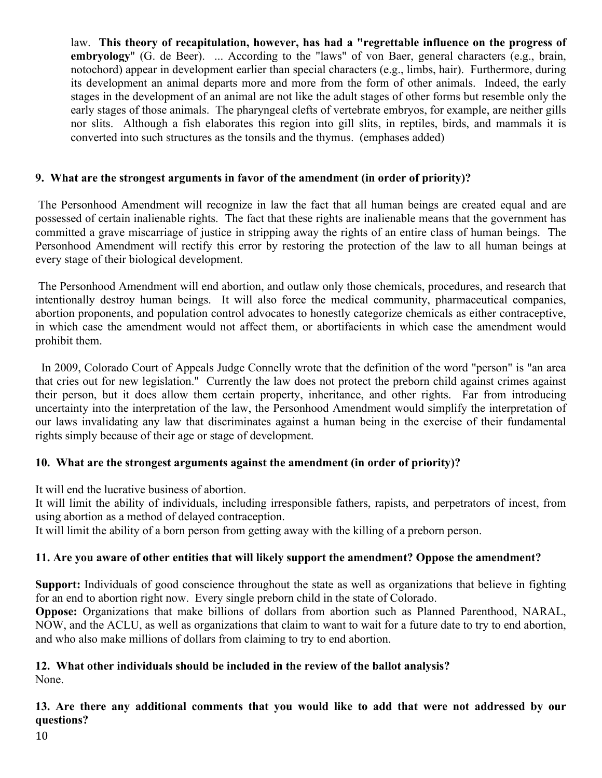law. **This theory of recapitulation, however, has had a "regrettable influence on the progress of embryology**" (G. de Beer). ... According to the "laws" of von Baer, general characters (e.g., brain, notochord) appear in development earlier than special characters (e.g., limbs, hair). Furthermore, during its development an animal departs more and more from the form of other animals. Indeed, the early stages in the development of an animal are not like the adult stages of other forms but resemble only the early stages of those animals. The pharyngeal clefts of vertebrate embryos, for example, are neither gills nor slits. Although a fish elaborates this region into gill slits, in reptiles, birds, and mammals it is converted into such structures as the tonsils and the thymus. (emphases added)

## **9. What are the strongest arguments in favor of the amendment (in order of priority)?**

 The Personhood Amendment will recognize in law the fact that all human beings are created equal and are possessed of certain inalienable rights. The fact that these rights are inalienable means that the government has committed a grave miscarriage of justice in stripping away the rights of an entire class of human beings. The Personhood Amendment will rectify this error by restoring the protection of the law to all human beings at every stage of their biological development.

 The Personhood Amendment will end abortion, and outlaw only those chemicals, procedures, and research that intentionally destroy human beings. It will also force the medical community, pharmaceutical companies, abortion proponents, and population control advocates to honestly categorize chemicals as either contraceptive, in which case the amendment would not affect them, or abortifacients in which case the amendment would prohibit them.

 In 2009, Colorado Court of Appeals Judge Connelly wrote that the definition of the word "person" is "an area that cries out for new legislation." Currently the law does not protect the preborn child against crimes against their person, but it does allow them certain property, inheritance, and other rights. Far from introducing uncertainty into the interpretation of the law, the Personhood Amendment would simplify the interpretation of our laws invalidating any law that discriminates against a human being in the exercise of their fundamental rights simply because of their age or stage of development.

#### **10. What are the strongest arguments against the amendment (in order of priority)?**

It will end the lucrative business of abortion.

It will limit the ability of individuals, including irresponsible fathers, rapists, and perpetrators of incest, from using abortion as a method of delayed contraception.

It will limit the ability of a born person from getting away with the killing of a preborn person.

#### **11. Are you aware of other entities that will likely support the amendment? Oppose the amendment?**

**Support:** Individuals of good conscience throughout the state as well as organizations that believe in fighting for an end to abortion right now. Every single preborn child in the state of Colorado.

**Oppose:** Organizations that make billions of dollars from abortion such as Planned Parenthood, NARAL, NOW, and the ACLU, as well as organizations that claim to want to wait for a future date to try to end abortion, and who also make millions of dollars from claiming to try to end abortion.

# **12. What other individuals should be included in the review of the ballot analysis?**

None.

**13. Are there any additional comments that you would like to add that were not addressed by our questions?**